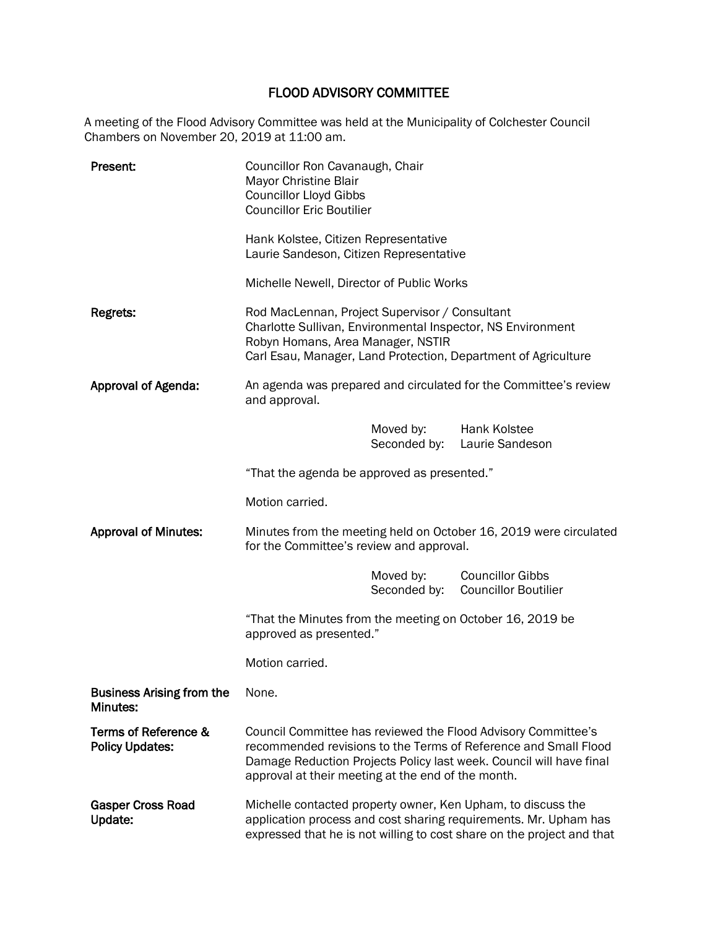## FLOOD ADVISORY COMMITTEE

A meeting of the Flood Advisory Committee was held at the Municipality of Colchester Council Chambers on November 20, 2019 at 11:00 am.

| Present:                                       | Councillor Ron Cavanaugh, Chair<br>Mayor Christine Blair<br><b>Councillor Lloyd Gibbs</b><br><b>Councillor Eric Boutilier</b><br>Hank Kolstee, Citizen Representative<br>Laurie Sandeson, Citizen Representative                                              |              |                                                        |  |
|------------------------------------------------|---------------------------------------------------------------------------------------------------------------------------------------------------------------------------------------------------------------------------------------------------------------|--------------|--------------------------------------------------------|--|
| Regrets:                                       | Michelle Newell, Director of Public Works<br>Rod MacLennan, Project Supervisor / Consultant<br>Charlotte Sullivan, Environmental Inspector, NS Environment<br>Robyn Homans, Area Manager, NSTIR                                                               |              |                                                        |  |
|                                                | Carl Esau, Manager, Land Protection, Department of Agriculture                                                                                                                                                                                                |              |                                                        |  |
| Approval of Agenda:                            | An agenda was prepared and circulated for the Committee's review<br>and approval.                                                                                                                                                                             |              |                                                        |  |
|                                                | Moved by:                                                                                                                                                                                                                                                     |              | <b>Hank Kolstee</b><br>Seconded by: Laurie Sandeson    |  |
|                                                | "That the agenda be approved as presented."                                                                                                                                                                                                                   |              |                                                        |  |
|                                                | Motion carried.                                                                                                                                                                                                                                               |              |                                                        |  |
| <b>Approval of Minutes:</b>                    | Minutes from the meeting held on October 16, 2019 were circulated<br>for the Committee's review and approval.                                                                                                                                                 |              |                                                        |  |
|                                                | Moved by:                                                                                                                                                                                                                                                     | Seconded by: | <b>Councillor Gibbs</b><br><b>Councillor Boutilier</b> |  |
|                                                | "That the Minutes from the meeting on October 16, 2019 be<br>approved as presented."                                                                                                                                                                          |              |                                                        |  |
|                                                | Motion carried.                                                                                                                                                                                                                                               |              |                                                        |  |
| <b>Business Arising from the</b><br>Minutes:   | None.                                                                                                                                                                                                                                                         |              |                                                        |  |
| Terms of Reference &<br><b>Policy Updates:</b> | Council Committee has reviewed the Flood Advisory Committee's<br>recommended revisions to the Terms of Reference and Small Flood<br>Damage Reduction Projects Policy last week. Council will have final<br>approval at their meeting at the end of the month. |              |                                                        |  |
| <b>Gasper Cross Road</b><br>Update:            | Michelle contacted property owner, Ken Upham, to discuss the<br>application process and cost sharing requirements. Mr. Upham has<br>expressed that he is not willing to cost share on the project and that                                                    |              |                                                        |  |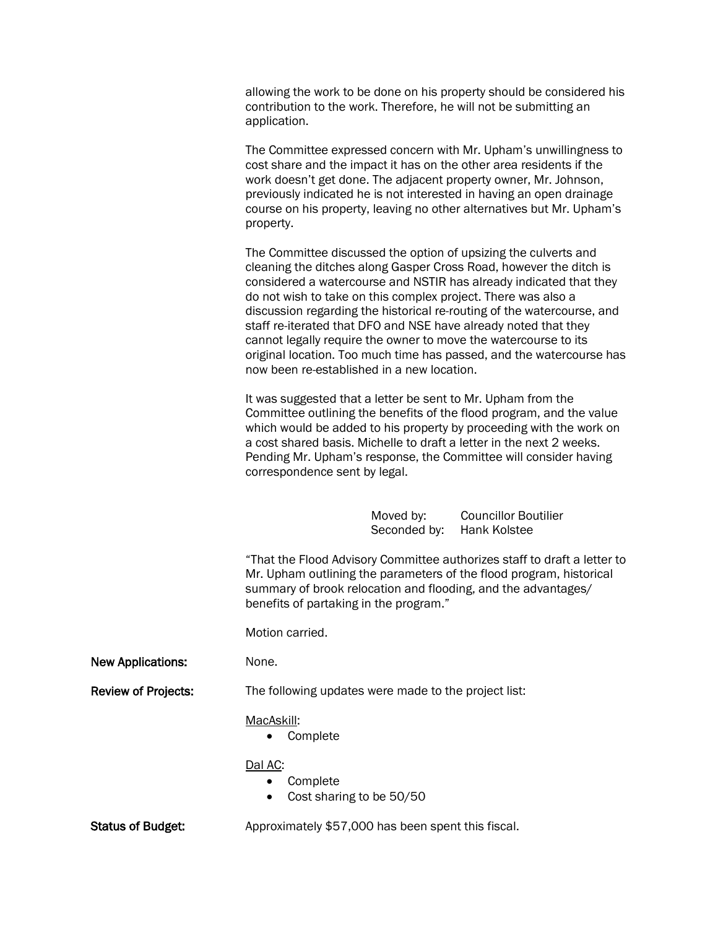allowing the work to be done on his property should be considered his contribution to the work. Therefore, he will not be submitting an application.

The Committee expressed concern with Mr. Upham's unwillingness to cost share and the impact it has on the other area residents if the work doesn't get done. The adjacent property owner, Mr. Johnson, previously indicated he is not interested in having an open drainage course on his property, leaving no other alternatives but Mr. Upham's property.

The Committee discussed the option of upsizing the culverts and cleaning the ditches along Gasper Cross Road, however the ditch is considered a watercourse and NSTIR has already indicated that they do not wish to take on this complex project. There was also a discussion regarding the historical re-routing of the watercourse, and staff re-iterated that DFO and NSE have already noted that they cannot legally require the owner to move the watercourse to its original location. Too much time has passed, and the watercourse has now been re-established in a new location.

It was suggested that a letter be sent to Mr. Upham from the Committee outlining the benefits of the flood program, and the value which would be added to his property by proceeding with the work on a cost shared basis. Michelle to draft a letter in the next 2 weeks. Pending Mr. Upham's response, the Committee will consider having correspondence sent by legal.

> Moved by: Councillor Boutilier Seconded by: Hank Kolstee

"That the Flood Advisory Committee authorizes staff to draft a letter to Mr. Upham outlining the parameters of the flood program, historical summary of brook relocation and flooding, and the advantages/ benefits of partaking in the program."

Motion carried.

New Applications: None.

Review of Projects: The following updates were made to the project list:

## MacAskill:

• Complete

## Dal AC:

- Complete
- Cost sharing to be 50/50

Status of Budget: Approximately \$57,000 has been spent this fiscal.